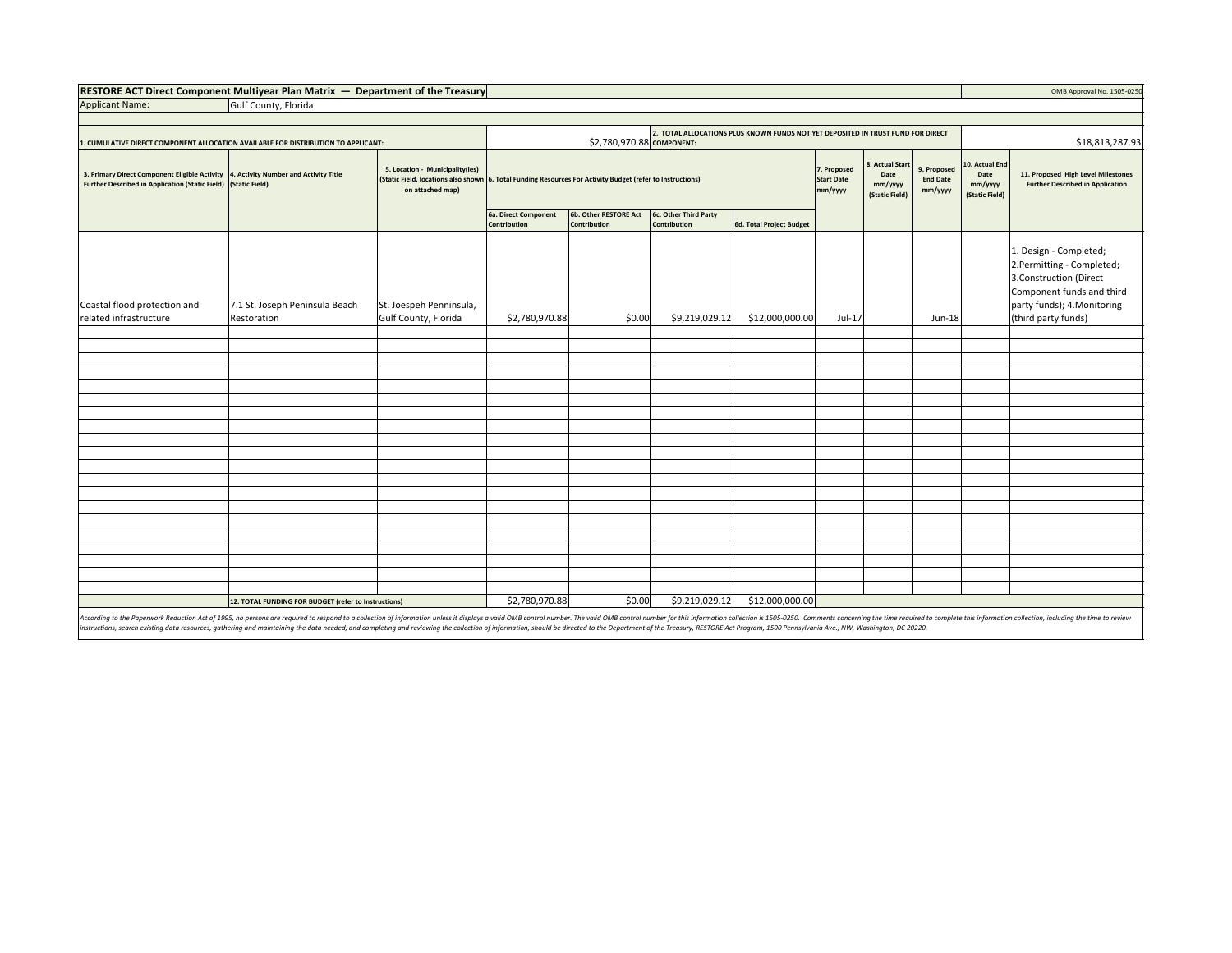| RESTORE ACT Direct Component Multiyear Plan Matrix - | - Department of the Treasury | OMB Approval No. 1505-0250 |
|------------------------------------------------------|------------------------------|----------------------------|
|                                                      |                              |                            |

| OMB Approval No. 1505-02! |  |
|---------------------------|--|
|                           |  |

Applicant Name: Gulf County, Florida

| CUMULATIVE DIRECT COMPONENT ALLOCATION AVAILABLE FOR DISTRIBUTION TO APPLICANT:                                                                       |                                                      | 2. TOTAL ALLOCATIONS PLUS KNOWN FUNDS NOT YET DEPOSITED IN TRUST FUND FOR DIRECT<br>\$2,780,970.88 COMPONENT: |                                                                                                                                                                                      |              |                |                                             |                                                          |                                           | \$18,813,287.93                                     |                                                                               |                                                                                                                                                                  |
|-------------------------------------------------------------------------------------------------------------------------------------------------------|------------------------------------------------------|---------------------------------------------------------------------------------------------------------------|--------------------------------------------------------------------------------------------------------------------------------------------------------------------------------------|--------------|----------------|---------------------------------------------|----------------------------------------------------------|-------------------------------------------|-----------------------------------------------------|-------------------------------------------------------------------------------|------------------------------------------------------------------------------------------------------------------------------------------------------------------|
| 3. Primary Direct Component Eligible Activity 4. Activity Number and Activity Title<br>Further Described in Application (Static Field) (Static Field) |                                                      | 5. Location - Municipality(ies)<br>on attached map)                                                           | (Static Field, locations also shown 6. Total Funding Resources For Activity Budget (refer to Instructions)<br>6b. Other RESTORE Act<br>6c. Other Third Party<br>6a. Direct Component |              |                | 7. Proposed<br><b>Start Date</b><br>mm/yyyy | <b>Actual Start</b><br>Date<br>mm/yyyy<br>(Static Field) | 9. Proposed<br><b>End Date</b><br>mm/yyyy | 10. Actual End<br>Date<br>mm/yyyy<br>(Static Field) | 11. Proposed High Level Milestones<br><b>Further Described in Application</b> |                                                                                                                                                                  |
|                                                                                                                                                       |                                                      |                                                                                                               | Contribution                                                                                                                                                                         | Contribution | Contribution   | 6d. Total Project Budget                    |                                                          |                                           |                                                     |                                                                               |                                                                                                                                                                  |
| Coastal flood protection and<br>related infrastructure                                                                                                | 7.1 St. Joseph Peninsula Beach<br>Restoration        | St. Joespeh Penninsula,<br>Gulf County, Florida                                                               | \$2,780,970.88                                                                                                                                                                       | \$0.00       | \$9,219,029.12 | \$12,000,000.00                             | Jul-17                                                   |                                           | Jun-18                                              |                                                                               | 1. Design - Completed;<br>2.Permitting - Completed;<br>3.Construction (Direct<br>Component funds and third<br>party funds); 4. Monitoring<br>(third party funds) |
|                                                                                                                                                       |                                                      |                                                                                                               |                                                                                                                                                                                      |              |                |                                             |                                                          |                                           |                                                     |                                                                               |                                                                                                                                                                  |
|                                                                                                                                                       |                                                      |                                                                                                               |                                                                                                                                                                                      |              |                |                                             |                                                          |                                           |                                                     |                                                                               |                                                                                                                                                                  |
|                                                                                                                                                       |                                                      |                                                                                                               |                                                                                                                                                                                      |              |                |                                             |                                                          |                                           |                                                     |                                                                               |                                                                                                                                                                  |
|                                                                                                                                                       |                                                      |                                                                                                               |                                                                                                                                                                                      |              |                |                                             |                                                          |                                           |                                                     |                                                                               |                                                                                                                                                                  |
|                                                                                                                                                       |                                                      |                                                                                                               |                                                                                                                                                                                      |              |                |                                             |                                                          |                                           |                                                     |                                                                               |                                                                                                                                                                  |
|                                                                                                                                                       |                                                      |                                                                                                               |                                                                                                                                                                                      |              |                |                                             |                                                          |                                           |                                                     |                                                                               |                                                                                                                                                                  |
|                                                                                                                                                       |                                                      |                                                                                                               |                                                                                                                                                                                      |              |                |                                             |                                                          |                                           |                                                     |                                                                               |                                                                                                                                                                  |
|                                                                                                                                                       |                                                      |                                                                                                               |                                                                                                                                                                                      |              |                |                                             |                                                          |                                           |                                                     |                                                                               |                                                                                                                                                                  |
|                                                                                                                                                       |                                                      |                                                                                                               |                                                                                                                                                                                      |              |                |                                             |                                                          |                                           |                                                     |                                                                               |                                                                                                                                                                  |
|                                                                                                                                                       |                                                      |                                                                                                               |                                                                                                                                                                                      |              |                |                                             |                                                          |                                           |                                                     |                                                                               |                                                                                                                                                                  |
|                                                                                                                                                       |                                                      |                                                                                                               |                                                                                                                                                                                      |              |                |                                             |                                                          |                                           |                                                     |                                                                               |                                                                                                                                                                  |
|                                                                                                                                                       |                                                      |                                                                                                               |                                                                                                                                                                                      |              |                |                                             |                                                          |                                           |                                                     |                                                                               |                                                                                                                                                                  |
|                                                                                                                                                       |                                                      |                                                                                                               |                                                                                                                                                                                      |              |                |                                             |                                                          |                                           |                                                     |                                                                               |                                                                                                                                                                  |
|                                                                                                                                                       |                                                      |                                                                                                               |                                                                                                                                                                                      |              |                |                                             |                                                          |                                           |                                                     |                                                                               |                                                                                                                                                                  |
|                                                                                                                                                       |                                                      |                                                                                                               |                                                                                                                                                                                      |              |                |                                             |                                                          |                                           |                                                     |                                                                               |                                                                                                                                                                  |
|                                                                                                                                                       |                                                      |                                                                                                               |                                                                                                                                                                                      |              |                |                                             |                                                          |                                           |                                                     |                                                                               |                                                                                                                                                                  |
|                                                                                                                                                       |                                                      |                                                                                                               |                                                                                                                                                                                      |              |                |                                             |                                                          |                                           |                                                     |                                                                               |                                                                                                                                                                  |
|                                                                                                                                                       |                                                      |                                                                                                               |                                                                                                                                                                                      |              |                |                                             |                                                          |                                           |                                                     |                                                                               |                                                                                                                                                                  |
|                                                                                                                                                       |                                                      |                                                                                                               |                                                                                                                                                                                      |              |                |                                             |                                                          |                                           |                                                     |                                                                               |                                                                                                                                                                  |
|                                                                                                                                                       | 12. TOTAL FUNDING FOR BUDGET (refer to Instructions) |                                                                                                               | \$2,780,970.88                                                                                                                                                                       | \$0.00       | \$9,219,029.12 | \$12,000,000.00                             |                                                          |                                           |                                                     |                                                                               |                                                                                                                                                                  |

According to the Paperwork Reduction Act of 1995, no persons are required to respond to a collection of information unless it displays a valid OMB control number. The valid OMB control number for this information collectio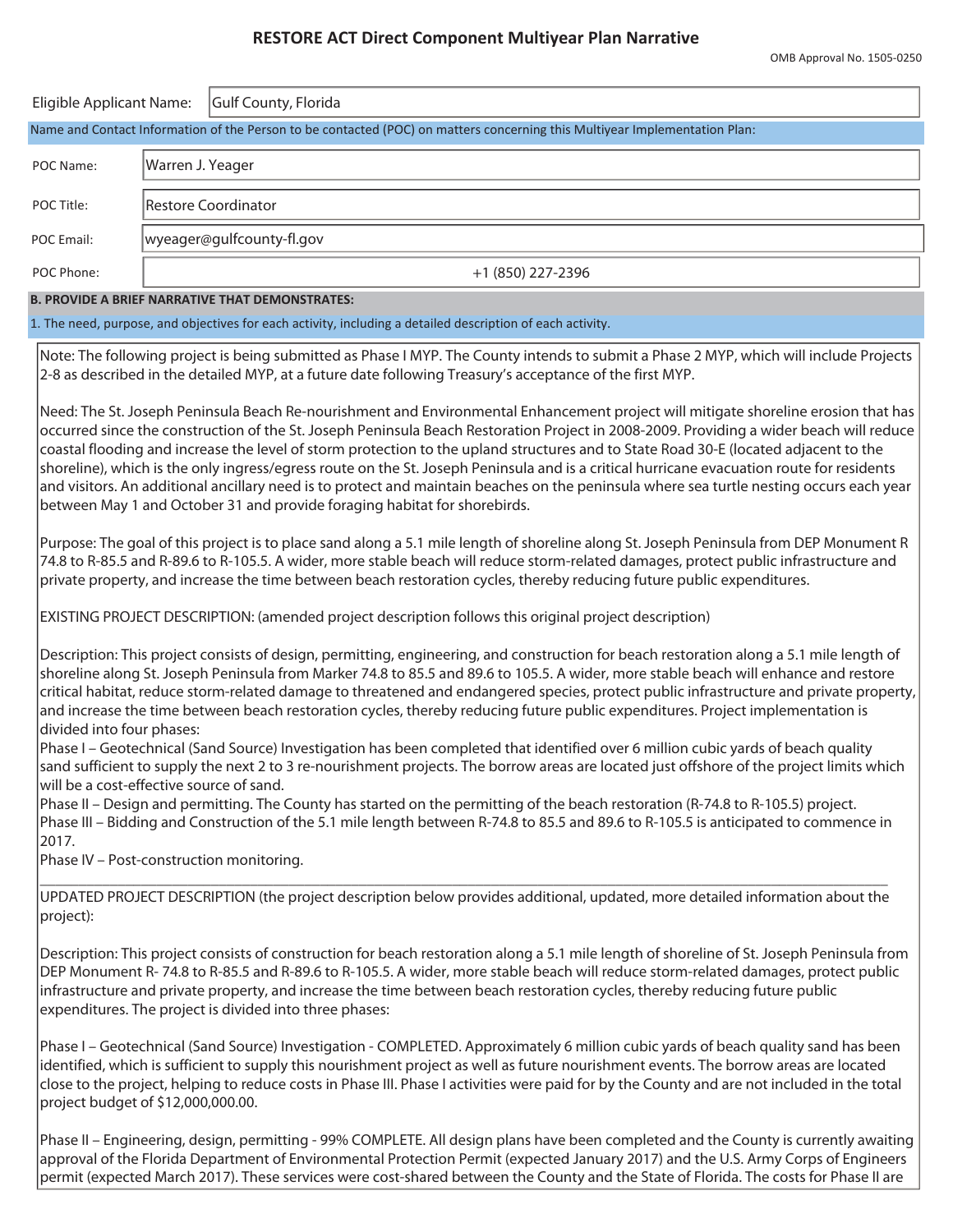## **RESTORE ACT Direct Component Multiyear Plan Narrative**

| Eligible Applicant Name:                                                                                                   |                  | Gulf County, Florida      |  |  |  |  |
|----------------------------------------------------------------------------------------------------------------------------|------------------|---------------------------|--|--|--|--|
| Name and Contact Information of the Person to be contacted (POC) on matters concerning this Multiyear Implementation Plan: |                  |                           |  |  |  |  |
| POC Name:                                                                                                                  | Warren J. Yeager |                           |  |  |  |  |
| POC Title:                                                                                                                 |                  | Restore Coordinator       |  |  |  |  |
| POC Email:                                                                                                                 |                  | wyeager@gulfcounty-fl.gov |  |  |  |  |
| POC Phone:                                                                                                                 |                  | +1 (850) 227-2396         |  |  |  |  |
| <b>B. PROVIDE A BRIEF NARRATIVE THAT DEMONSTRATES:</b>                                                                     |                  |                           |  |  |  |  |
| 1. The need, purpose, and objectives for each activity, including a detailed description of each activity.                 |                  |                           |  |  |  |  |

Note: The following project is being submitted as Phase I MYP. The County intends to submit a Phase 2 MYP, which will include Projects 2-8 as described in the detailed MYP, at a future date following Treasury's acceptance of the first MYP.

Need: The St. Joseph Peninsula Beach Re-nourishment and Environmental Enhancement project will mitigate shoreline erosion that has occurred since the construction of the St. Joseph Peninsula Beach Restoration Project in 2008-2009. Providing a wider beach will reduce coastal flooding and increase the level of storm protection to the upland structures and to State Road 30-E (located adjacent to the shoreline), which is the only ingress/egress route on the St. Joseph Peninsula and is a critical hurricane evacuation route for residents and visitors. An additional ancillary need is to protect and maintain beaches on the peninsula where sea turtle nesting occurs each year between May 1 and October 31 and provide foraging habitat for shorebirds.

Purpose: The goal of this project is to place sand along a 5.1 mile length of shoreline along St. Joseph Peninsula from DEP Monument R 74.8 to R-85.5 and R-89.6 to R-105.5. A wider, more stable beach will reduce storm-related damages, protect public infrastructure and private property, and increase the time between beach restoration cycles, thereby reducing future public expenditures.

EXISTING PROJECT DESCRIPTION: (amended project description follows this original project description)

Description: This project consists of design, permitting, engineering, and construction for beach restoration along a 5.1 mile length of shoreline along St. Joseph Peninsula from Marker 74.8 to 85.5 and 89.6 to 105.5. A wider, more stable beach will enhance and restore critical habitat, reduce storm-related damage to threatened and endangered species, protect public infrastructure and private property, and increase the time between beach restoration cycles, thereby reducing future public expenditures. Project implementation is divided into four phases:

Phase I – Geotechnical (Sand Source) Investigation has been completed that identified over 6 million cubic yards of beach quality sand sufficient to supply the next 2 to 3 re-nourishment projects. The borrow areas are located just offshore of the project limits which will be a cost-effective source of sand.

Phase II – Design and permitting. The County has started on the permitting of the beach restoration (R-74.8 to R-105.5) project. Phase III – Bidding and Construction of the 5.1 mile length between R-74.8 to 85.5 and 89.6 to R-105.5 is anticipated to commence in 2017.

Phase IV – Post-construction monitoring.

\_\_\_\_\_\_\_\_\_\_\_\_\_\_\_\_\_\_\_\_\_\_\_\_\_\_\_\_\_\_\_\_\_\_\_\_\_\_\_\_\_\_\_\_\_\_\_\_\_\_\_\_\_\_\_\_\_\_\_\_\_\_\_\_\_\_\_\_\_\_\_\_\_\_\_\_\_\_\_\_\_\_\_\_\_\_\_\_\_\_\_\_\_\_\_\_\_\_\_\_\_\_\_\_\_\_\_\_\_ UPDATED PROJECT DESCRIPTION (the project description below provides additional, updated, more detailed information about the project):

Description: This project consists of construction for beach restoration along a 5.1 mile length of shoreline of St. Joseph Peninsula from DEP Monument R- 74.8 to R-85.5 and R-89.6 to R-105.5. A wider, more stable beach will reduce storm-related damages, protect public infrastructure and private property, and increase the time between beach restoration cycles, thereby reducing future public expenditures. The project is divided into three phases:

Phase I – Geotechnical (Sand Source) Investigation - COMPLETED. Approximately 6 million cubic yards of beach quality sand has been identified, which is sufficient to supply this nourishment project as well as future nourishment events. The borrow areas are located close to the project, helping to reduce costs in Phase III. Phase I activities were paid for by the County and are not included in the total project budget of \$12,000,000.00.

Phase II – Engineering, design, permitting - 99% COMPLETE. All design plans have been completed and the County is currently awaiting approval of the Florida Department of Environmental Protection Permit (expected January 2017) and the U.S. Army Corps of Engineers permit (expected March 2017). These services were cost-shared between the County and the State of Florida. The costs for Phase II are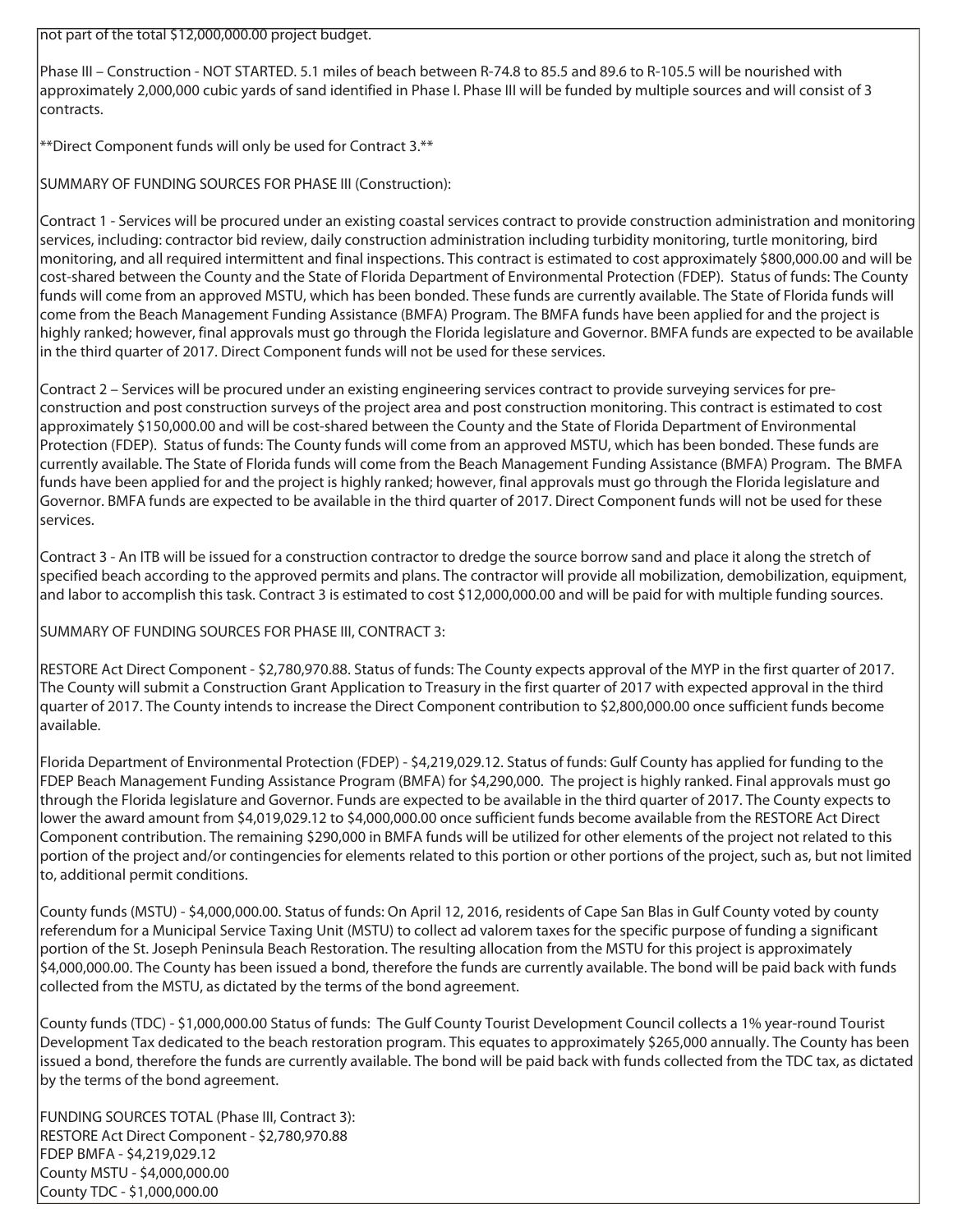not part of the total \$12,000,000.00 project budget.

Phase III – Construction - NOT STARTED. 5.1 miles of beach between R-74.8 to 85.5 and 89.6 to R-105.5 will be nourished with approximately 2,000,000 cubic yards of sand identified in Phase I. Phase III will be funded by multiple sources and will consist of 3 contracts.

\*\*Direct Component funds will only be used for Contract 3.\*\*

SUMMARY OF FUNDING SOURCES FOR PHASE III (Construction):

Contract 1 - Services will be procured under an existing coastal services contract to provide construction administration and monitoring services, including: contractor bid review, daily construction administration including turbidity monitoring, turtle monitoring, bird monitoring, and all required intermittent and final inspections. This contract is estimated to cost approximately \$800,000.00 and will be cost-shared between the County and the State of Florida Department of Environmental Protection (FDEP). Status of funds: The County funds will come from an approved MSTU, which has been bonded. These funds are currently available. The State of Florida funds will come from the Beach Management Funding Assistance (BMFA) Program. The BMFA funds have been applied for and the project is highly ranked; however, final approvals must go through the Florida legislature and Governor. BMFA funds are expected to be available in the third quarter of 2017. Direct Component funds will not be used for these services.

Contract 2 – Services will be procured under an existing engineering services contract to provide surveying services for preconstruction and post construction surveys of the project area and post construction monitoring. This contract is estimated to cost approximately \$150,000.00 and will be cost-shared between the County and the State of Florida Department of Environmental Protection (FDEP). Status of funds: The County funds will come from an approved MSTU, which has been bonded. These funds are currently available. The State of Florida funds will come from the Beach Management Funding Assistance (BMFA) Program. The BMFA funds have been applied for and the project is highly ranked; however, final approvals must go through the Florida legislature and Governor. BMFA funds are expected to be available in the third quarter of 2017. Direct Component funds will not be used for these services.

Contract 3 - An ITB will be issued for a construction contractor to dredge the source borrow sand and place it along the stretch of specified beach according to the approved permits and plans. The contractor will provide all mobilization, demobilization, equipment, and labor to accomplish this task. Contract 3 is estimated to cost \$12,000,000.00 and will be paid for with multiple funding sources.

SUMMARY OF FUNDING SOURCES FOR PHASE III, CONTRACT 3:

RESTORE Act Direct Component - \$2,780,970.88. Status of funds: The County expects approval of the MYP in the first quarter of 2017. The County will submit a Construction Grant Application to Treasury in the first quarter of 2017 with expected approval in the third quarter of 2017. The County intends to increase the Direct Component contribution to \$2,800,000.00 once sufficient funds become available.

Florida Department of Environmental Protection (FDEP) - \$4,219,029.12. Status of funds: Gulf County has applied for funding to the FDEP Beach Management Funding Assistance Program (BMFA) for \$4,290,000. The project is highly ranked. Final approvals must go through the Florida legislature and Governor. Funds are expected to be available in the third quarter of 2017. The County expects to lower the award amount from \$4,019,029.12 to \$4,000,000.00 once sufficient funds become available from the RESTORE Act Direct Component contribution. The remaining \$290,000 in BMFA funds will be utilized for other elements of the project not related to this portion of the project and/or contingencies for elements related to this portion or other portions of the project, such as, but not limited to, additional permit conditions.

County funds (MSTU) - \$4,000,000.00. Status of funds: On April 12, 2016, residents of Cape San Blas in Gulf County voted by county referendum for a Municipal Service Taxing Unit (MSTU) to collect ad valorem taxes for the specific purpose of funding a significant portion of the St. Joseph Peninsula Beach Restoration. The resulting allocation from the MSTU for this project is approximately \$4,000,000.00. The County has been issued a bond, therefore the funds are currently available. The bond will be paid back with funds collected from the MSTU, as dictated by the terms of the bond agreement.

County funds (TDC) - \$1,000,000.00 Status of funds: The Gulf County Tourist Development Council collects a 1% year-round Tourist Development Tax dedicated to the beach restoration program. This equates to approximately \$265,000 annually. The County has been issued a bond, therefore the funds are currently available. The bond will be paid back with funds collected from the TDC tax, as dictated by the terms of the bond agreement.

FUNDING SOURCES TOTAL (Phase III, Contract 3): RESTORE Act Direct Component - \$2,780,970.88 FDEP BMFA - \$4,219,029.12 County MSTU - \$4,000,000.00 County TDC - \$1,000,000.00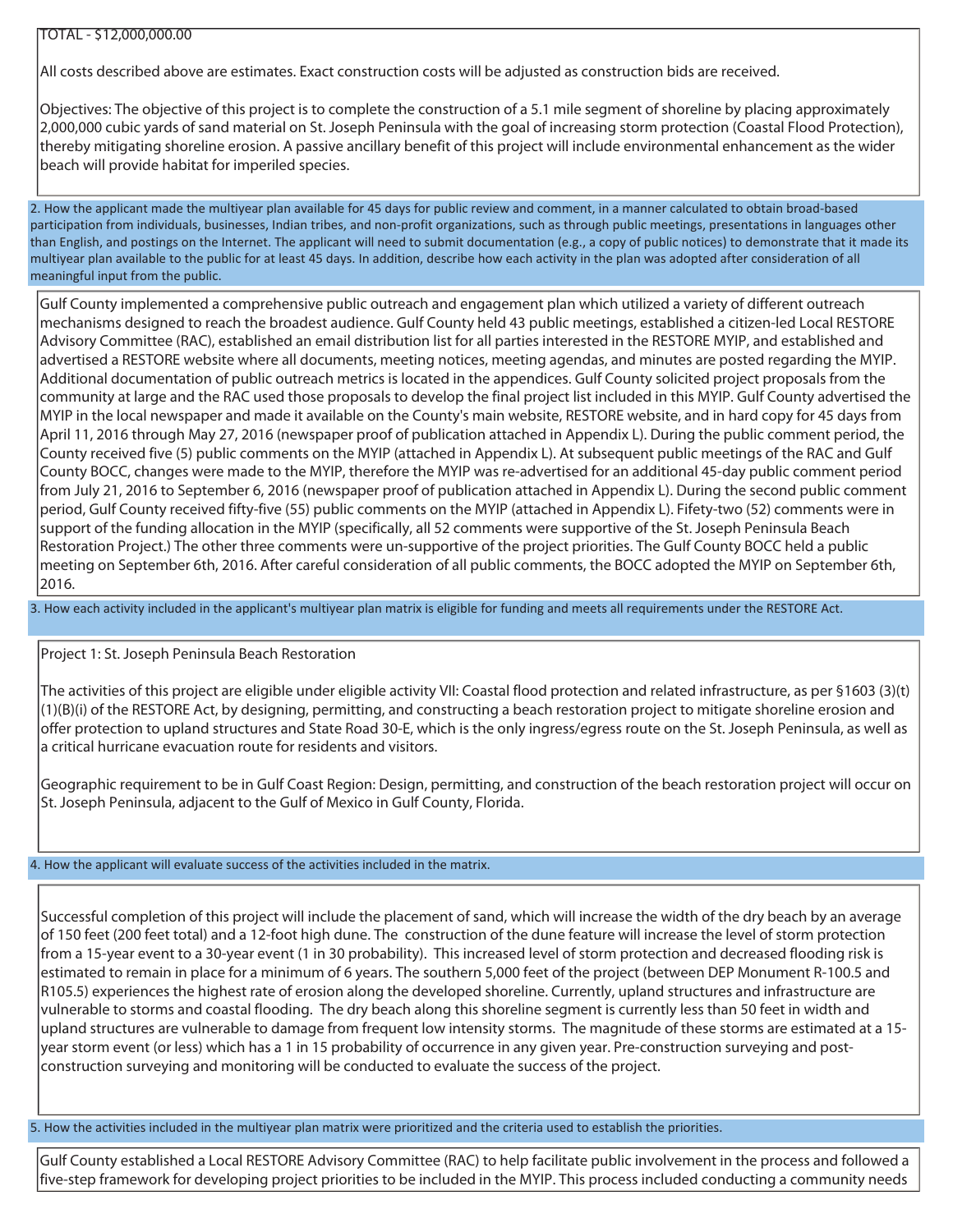## TOTAL - \$12,000,000.00

All costs described above are estimates. Exact construction costs will be adjusted as construction bids are received.

Objectives: The objective of this project is to complete the construction of a 5.1 mile segment of shoreline by placing approximately 2,000,000 cubic yards of sand material on St. Joseph Peninsula with the goal of increasing storm protection (Coastal Flood Protection), thereby mitigating shoreline erosion. A passive ancillary benefit of this project will include environmental enhancement as the wider beach will provide habitat for imperiled species.

2. How the applicant made the multiyear plan available for 45 days for public review and comment, in a manner calculated to obtain broad-based participation from individuals, businesses, Indian tribes, and non-profit organizations, such as through public meetings, presentations in languages other than English, and postings on the Internet. The applicant will need to submit documentation (e.g., a copy of public notices) to demonstrate that it made its multiyear plan available to the public for at least 45 days. In addition, describe how each activity in the plan was adopted after consideration of all meaningful input from the public.

Gulf County implemented a comprehensive public outreach and engagement plan which utilized a variety of different outreach mechanisms designed to reach the broadest audience. Gulf County held 43 public meetings, established a citizen-led Local RESTORE Advisory Committee (RAC), established an email distribution list for all parties interested in the RESTORE MYIP, and established and advertised a RESTORE website where all documents, meeting notices, meeting agendas, and minutes are posted regarding the MYIP. Additional documentation of public outreach metrics is located in the appendices. Gulf County solicited project proposals from the community at large and the RAC used those proposals to develop the final project list included in this MYIP. Gulf County advertised the MYIP in the local newspaper and made it available on the County's main website, RESTORE website, and in hard copy for 45 days from April 11, 2016 through May 27, 2016 (newspaper proof of publication attached in Appendix L). During the public comment period, the County received five (5) public comments on the MYIP (attached in Appendix L). At subsequent public meetings of the RAC and Gulf County BOCC, changes were made to the MYIP, therefore the MYIP was re-advertised for an additional 45-day public comment period from July 21, 2016 to September 6, 2016 (newspaper proof of publication attached in Appendix L). During the second public comment period, Gulf County received fifty-five (55) public comments on the MYIP (attached in Appendix L). Fifety-two (52) comments were in support of the funding allocation in the MYIP (specifically, all 52 comments were supportive of the St. Joseph Peninsula Beach Restoration Project.) The other three comments were un-supportive of the project priorities. The Gulf County BOCC held a public meeting on September 6th, 2016. After careful consideration of all public comments, the BOCC adopted the MYIP on September 6th, 2016.

3. How each activity included in the applicant's multiyear plan matrix is eligible for funding and meets all requirements under the RESTORE Act.

Project 1: St. Joseph Peninsula Beach Restoration

The activities of this project are eligible under eligible activity VII: Coastal flood protection and related infrastructure, as per §1603 (3)(t)  $(1)(B)(i)$  of the RESTORE Act, by designing, permitting, and constructing a beach restoration project to mitigate shoreline erosion and offer protection to upland structures and State Road 30-E, which is the only ingress/egress route on the St. Joseph Peninsula, as well as a critical hurricane evacuation route for residents and visitors.

Geographic requirement to be in Gulf Coast Region: Design, permitting, and construction of the beach restoration project will occur on St. Joseph Peninsula, adjacent to the Gulf of Mexico in Gulf County, Florida.

## 4. How the applicant will evaluate success of the activities included in the matrix.

Successful completion of this project will include the placement of sand, which will increase the width of the dry beach by an average of 150 feet (200 feet total) and a 12-foot high dune. The construction of the dune feature will increase the level of storm protection from a 15-year event to a 30-year event (1 in 30 probability). This increased level of storm protection and decreased flooding risk is estimated to remain in place for a minimum of 6 years. The southern 5,000 feet of the project (between DEP Monument R-100.5 and R105.5) experiences the highest rate of erosion along the developed shoreline. Currently, upland structures and infrastructure are vulnerable to storms and coastal flooding. The dry beach along this shoreline segment is currently less than 50 feet in width and upland structures are vulnerable to damage from frequent low intensity storms. The magnitude of these storms are estimated at a 15 year storm event (or less) which has a 1 in 15 probability of occurrence in any given year. Pre-construction surveying and postconstruction surveying and monitoring will be conducted to evaluate the success of the project.

5. How the activities included in the multiyear plan matrix were prioritized and the criteria used to establish the priorities.

Gulf County established a Local RESTORE Advisory Committee (RAC) to help facilitate public involvement in the process and followed a five-step framework for developing project priorities to be included in the MYIP. This process included conducting a community needs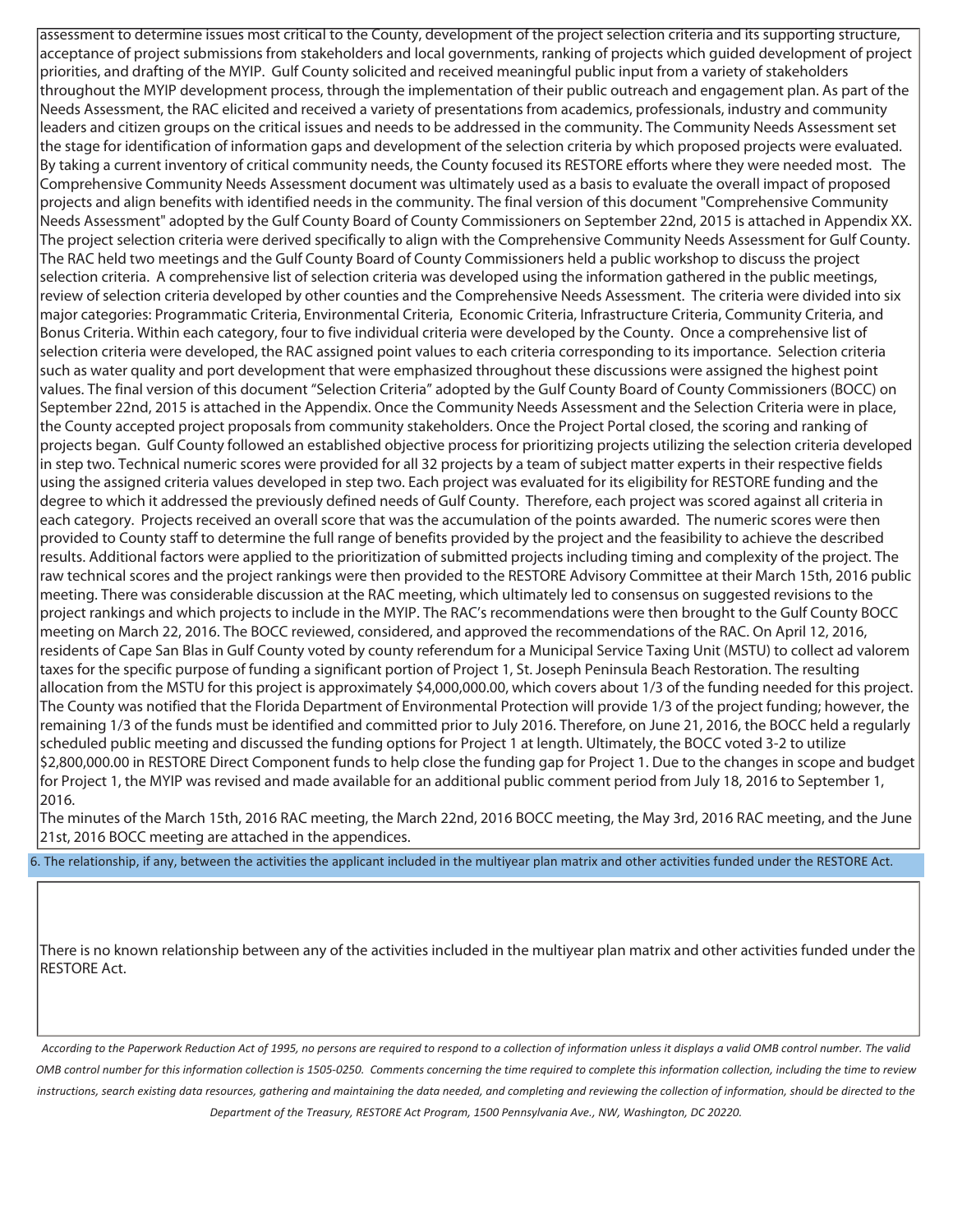assessment to determine issues most critical to the County, development of the project selection criteria and its supporting structure, acceptance of project submissions from stakeholders and local governments, ranking of projects which guided development of project priorities, and drafting of the MYIP. Gulf County solicited and received meaningful public input from a variety of stakeholders throughout the MYIP development process, through the implementation of their public outreach and engagement plan. As part of the Needs Assessment, the RAC elicited and received a variety of presentations from academics, professionals, industry and community leaders and citizen groups on the critical issues and needs to be addressed in the community. The Community Needs Assessment set the stage for identification of information gaps and development of the selection criteria by which proposed projects were evaluated. By taking a current inventory of critical community needs, the County focused its RESTORE efforts where they were needed most. The Comprehensive Community Needs Assessment document was ultimately used as a basis to evaluate the overall impact of proposed projects and align benefits with identified needs in the community. The final version of this document "Comprehensive Community Needs Assessment" adopted by the Gulf County Board of County Commissioners on September 22nd, 2015 is attached in Appendix XX. The project selection criteria were derived specifically to align with the Comprehensive Community Needs Assessment for Gulf County. The RAC held two meetings and the Gulf County Board of County Commissioners held a public workshop to discuss the project selection criteria. A comprehensive list of selection criteria was developed using the information gathered in the public meetings, review of selection criteria developed by other counties and the Comprehensive Needs Assessment. The criteria were divided into six major categories: Programmatic Criteria, Environmental Criteria, Economic Criteria, Infrastructure Criteria, Community Criteria, and Bonus Criteria. Within each category, four to five individual criteria were developed by the County. Once a comprehensive list of selection criteria were developed, the RAC assigned point values to each criteria corresponding to its importance. Selection criteria such as water quality and port development that were emphasized throughout these discussions were assigned the highest point values. The final version of this document "Selection Criteria" adopted by the Gulf County Board of County Commissioners (BOCC) on September 22nd, 2015 is attached in the Appendix. Once the Community Needs Assessment and the Selection Criteria were in place, the County accepted project proposals from community stakeholders. Once the Project Portal closed, the scoring and ranking of projects began. Gulf County followed an established objective process for prioritizing projects utilizing the selection criteria developed in step two. Technical numeric scores were provided for all 32 projects by a team of subject matter experts in their respective fields using the assigned criteria values developed in step two. Each project was evaluated for its eligibility for RESTORE funding and the degree to which it addressed the previously defined needs of Gulf County. Therefore, each project was scored against all criteria in each category. Projects received an overall score that was the accumulation of the points awarded. The numeric scores were then provided to County staff to determine the full range of benefits provided by the project and the feasibility to achieve the described results. Additional factors were applied to the prioritization of submitted projects including timing and complexity of the project. The raw technical scores and the project rankings were then provided to the RESTORE Advisory Committee at their March 15th, 2016 public meeting. There was considerable discussion at the RAC meeting, which ultimately led to consensus on suggested revisions to the project rankings and which projects to include in the MYIP. The RAC's recommendations were then brought to the Gulf County BOCC meeting on March 22, 2016. The BOCC reviewed, considered, and approved the recommendations of the RAC. On April 12, 2016, residents of Cape San Blas in Gulf County voted by county referendum for a Municipal Service Taxing Unit (MSTU) to collect ad valorem taxes for the specific purpose of funding a significant portion of Project 1, St. Joseph Peninsula Beach Restoration. The resulting allocation from the MSTU for this project is approximately \$4,000,000.00, which covers about 1/3 of the funding needed for this project. The County was notified that the Florida Department of Environmental Protection will provide 1/3 of the project funding; however, the remaining 1/3 of the funds must be identified and committed prior to July 2016. Therefore, on June 21, 2016, the BOCC held a regularly scheduled public meeting and discussed the funding options for Project 1 at length. Ultimately, the BOCC voted 3-2 to utilize \$2,800,000.00 in RESTORE Direct Component funds to help close the funding gap for Project 1. Due to the changes in scope and budget for Project 1, the MYIP was revised and made available for an additional public comment period from July 18, 2016 to September 1, 2016.

The minutes of the March 15th, 2016 RAC meeting, the March 22nd, 2016 BOCC meeting, the May 3rd, 2016 RAC meeting, and the June 21st, 2016 BOCC meeting are attached in the appendices.

6. The relationship, if any, between the activities the applicant included in the multiyear plan matrix and other activities funded under the RESTORE Act.

There is no known relationship between any of the activities included in the multiyear plan matrix and other activities funded under the RESTORE Act.

*According to the Paperwork Reduction Act of 1995, no persons are required to respond to a collection of information unless it displays a valid OMB control number. The valid OMB control number for this information collection is 1505-0250. Comments concerning the time required to complete this information collection, including the time to review instructions, search existing data resources, gathering and maintaining the data needed, and completing and reviewing the collection of information, should be directed to the Department of the Treasury, RESTORE Act Program, 1500 Pennsylvania Ave., NW, Washington, DC 20220.*